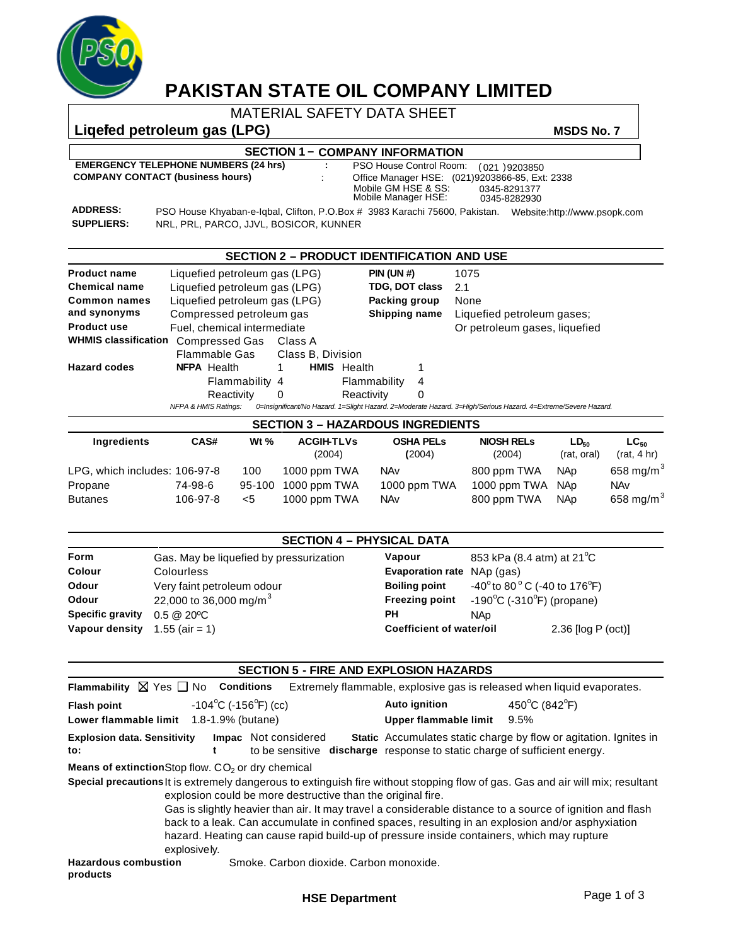

# **PAKISTAN STATE OIL COMPANY LIMITED**

MATERIAL SAFETY DATA SHEET

Liquefed petroleum gas (LPG) **MSDS No. 7** MSDS No. 7

**EMERGENCY TELEPHONE NUMBERS (24 hrs)** : PSO House Control Room: (021 )9203850<br>COMPANY CONTACT (business hours) : Office Manager HSF: (021)9203866-85. Ext **COMPANY CONTACT (business hours)** :

## **SECTION 1 - COMPANY INFORMATION**

Mobile GM HSE & SS: 0345-8291377<br>Mobile Manager HSE: 0345-8282930 Office Manager HSE: (021)9203866-85, Ext: 2338

**SUPPLIERS:**

Mobile Manager HSE: 0345-8282930 **ADDRESS:** PSO House Khyaban-e-Iqbal, Clifton, P.O.Box # 3983 Karachi 75600, Pakistan. Website:http://www.psopk.com NRL, PRL, PARCO, JJVL, BOSICOR, KUNNER

|                             |                                                                                                                                                   |                   | <b>SECTION 2 - PRODUCT IDENTIFICATION AND USE</b> |   |                               |
|-----------------------------|---------------------------------------------------------------------------------------------------------------------------------------------------|-------------------|---------------------------------------------------|---|-------------------------------|
| <b>Product name</b>         | Liquefied petroleum gas (LPG)                                                                                                                     |                   | <b>PIN (UN #)</b>                                 |   | 1075                          |
| <b>Chemical name</b>        | Liquefied petroleum gas (LPG)                                                                                                                     |                   | TDG, DOT class                                    |   | 2.1                           |
| Common names                | Liquefied petroleum gas (LPG)                                                                                                                     |                   | Packing group                                     |   | None                          |
| and synonyms                | Compressed petroleum gas                                                                                                                          | Shipping name     |                                                   |   | Liquefied petroleum gases:    |
| <b>Product use</b>          | Fuel, chemical intermediate                                                                                                                       |                   |                                                   |   | Or petroleum gases, liquefied |
| <b>WHMIS classification</b> | Compressed Gas                                                                                                                                    | Class A           |                                                   |   |                               |
|                             | Flammable Gas                                                                                                                                     | Class B, Division |                                                   |   |                               |
| <b>Hazard codes</b>         | <b>NFPA</b> Health                                                                                                                                | <b>HMIS</b>       | Health                                            |   |                               |
|                             | Flammability 4                                                                                                                                    |                   | Flammability                                      | 4 |                               |
|                             | Reactivity                                                                                                                                        | $\Omega$          | Reactivity                                        | 0 |                               |
|                             | <b>NFPA &amp; HMIS Ratings:</b><br>0=Insignificant/No Hazard. 1=Slight Hazard. 2=Moderate Hazard. 3=High/Serious Hazard. 4=Extreme/Severe Hazard. |                   |                                                   |   |                               |

| <b>SECTION 3 - HAZARDOUS INGREDIENTS</b> |          |                     |                             |                            |                             |                                 |                          |
|------------------------------------------|----------|---------------------|-----------------------------|----------------------------|-----------------------------|---------------------------------|--------------------------|
| Ingredients                              | CAS#     | W <sub>t</sub> $\%$ | <b>ACGIH-TLVs</b><br>(2004) | <b>OSHA PELS</b><br>(2004) | <b>NIOSH RELS</b><br>(2004) | LD <sub>so</sub><br>(rat. oral) | $LC_{50}$<br>(rat, 4 hr) |
| LPG, which includes: 106-97-8            |          | 100                 | 1000 ppm TWA                | <b>NAv</b>                 | 800 ppm TWA                 | NAp                             | 658 mg/m $^3$            |
| Propane                                  | 74-98-6  | 95-100              | 1000 ppm TWA                | 1000 ppm TWA               | 1000 ppm TWA                | NAp                             | NAv                      |
| <b>Butanes</b>                           | 106-97-8 | $<$ 5               | 1000 ppm TWA                | NAv                        | 800 ppm TWA                 | <b>NAp</b>                      | 658 mg/m $3$             |

### **SECTION 4 – PHYSICAL DATA**

| <b>Form</b>                     | Gas. May be liquefied by pressurization | Vapour                          | 853 kPa (8.4 atm) at 21 <sup>°</sup> C                     |                      |  |
|---------------------------------|-----------------------------------------|---------------------------------|------------------------------------------------------------|----------------------|--|
| <b>Colour</b>                   | <b>Colourless</b>                       | <b>Evaporation rate</b>         | NAp (gas)                                                  |                      |  |
| Odour                           | Very faint petroleum odour              | <b>Boiling point</b>            | $-40^{\circ}$ to 80 $^{\circ}$ C (-40 to 176 $^{\circ}$ F) |                      |  |
| Odour                           | 22,000 to 36,000 mg/m <sup>3</sup>      | <b>Freezing point</b>           | $-190^{\circ}$ C (-310 $^{\circ}$ F) (propane)             |                      |  |
| <b>Specific gravity</b>         | $0.5 \ @ \ 20^{\circ}C$                 | PН                              | NAp.                                                       |                      |  |
| Vapour density $1.55$ (air = 1) |                                         | <b>Coefficient of water/oil</b> |                                                            | $2.36$ [log P (oct)] |  |

|                                                               |                                         |                                                             | <b>SECTION 5 - FIRE AND EXPLOSION HAZARDS</b>                                             |                                                                                                                                                                                                                                                                                                                                                 |
|---------------------------------------------------------------|-----------------------------------------|-------------------------------------------------------------|-------------------------------------------------------------------------------------------|-------------------------------------------------------------------------------------------------------------------------------------------------------------------------------------------------------------------------------------------------------------------------------------------------------------------------------------------------|
| Flammability $\boxtimes$ Yes $\Box$ No Conditions             |                                         |                                                             |                                                                                           | Extremely flammable, explosive gas is released when liquid evaporates.                                                                                                                                                                                                                                                                          |
| <b>Flash point</b><br>Lower flammable limit 1.8-1.9% (butane) | $-104\degree$ C ( $-156\degree$ F) (cc) |                                                             | <b>Auto ignition</b><br>Upper flammable limit                                             | 450°C (842°F)<br>9.5%                                                                                                                                                                                                                                                                                                                           |
| <b>Explosion data. Sensitivity</b><br>to:                     | t                                       | Impac Not considered                                        | to be sensitive <b>discharge</b> response to static charge of sufficient energy.          | Static Accumulates static charge by flow or agitation. Ignites in                                                                                                                                                                                                                                                                               |
| <b>Means of extinction</b> Stop flow. $CO2$ or dry chemical   |                                         |                                                             |                                                                                           |                                                                                                                                                                                                                                                                                                                                                 |
|                                                               | explosively.                            | explosion could be more destructive than the original fire. | hazard. Heating can cause rapid build-up of pressure inside containers, which may rupture | Special precautions It is extremely dangerous to extinguish fire without stopping flow of gas. Gas and air will mix; resultant<br>Gas is slightly heavier than air. It may travel a considerable distance to a source of ignition and flash<br>back to a leak. Can accumulate in confined spaces, resulting in an explosion and/or asphyxiation |
| <b>Hazardous combustion</b><br>products                       |                                         | Smoke, Carbon dioxide, Carbon monoxide,                     |                                                                                           |                                                                                                                                                                                                                                                                                                                                                 |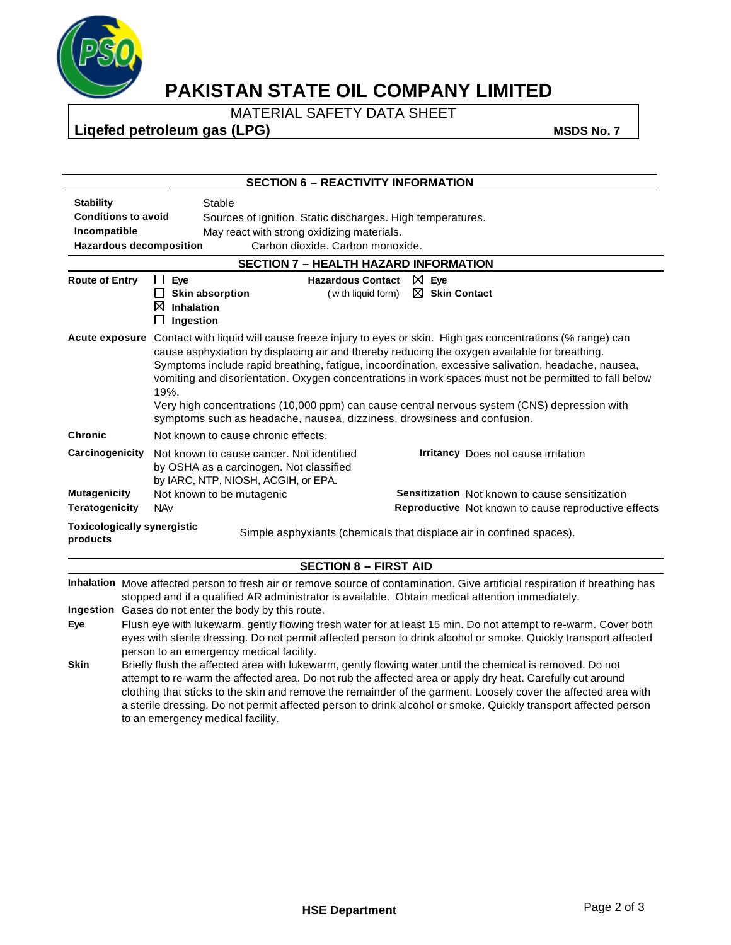

# **PAKISTAN STATE OIL COMPANY LIMITED**

MATERIAL SAFETY DATA SHEET

Liquefed petroleum gas (LPG) **MSDS No. 7** MSDS No. 7

|                                                                                                                        |                                                                                                                                                                                                                                                                                                                                                                                                                                                                                                  | <b>SECTION 6 - REACTIVITY INFORMATION</b>                                                                                                                                                                                                                                                                                                                                                                                                                                                                                                                                                                             |  |  |  |  |  |
|------------------------------------------------------------------------------------------------------------------------|--------------------------------------------------------------------------------------------------------------------------------------------------------------------------------------------------------------------------------------------------------------------------------------------------------------------------------------------------------------------------------------------------------------------------------------------------------------------------------------------------|-----------------------------------------------------------------------------------------------------------------------------------------------------------------------------------------------------------------------------------------------------------------------------------------------------------------------------------------------------------------------------------------------------------------------------------------------------------------------------------------------------------------------------------------------------------------------------------------------------------------------|--|--|--|--|--|
| <b>Stability</b><br><b>Conditions to avoid</b><br>Incompatible                                                         |                                                                                                                                                                                                                                                                                                                                                                                                                                                                                                  | Stable<br>Sources of ignition. Static discharges. High temperatures.<br>May react with strong oxidizing materials.<br><b>Hazardous decomposition</b><br>Carbon dioxide. Carbon monoxide.                                                                                                                                                                                                                                                                                                                                                                                                                              |  |  |  |  |  |
|                                                                                                                        |                                                                                                                                                                                                                                                                                                                                                                                                                                                                                                  | <b>SECTION 7 - HEALTH HAZARD INFORMATION</b>                                                                                                                                                                                                                                                                                                                                                                                                                                                                                                                                                                          |  |  |  |  |  |
| <b>Route of Entry</b>                                                                                                  |                                                                                                                                                                                                                                                                                                                                                                                                                                                                                                  | $\boxtimes$ Eye<br>Eye<br><b>Hazardous Contact</b><br>ப<br>$\boxtimes$ Skin Contact<br><b>Skin absorption</b><br>(with liquid form)<br>⊠<br>Inhalation<br>Ingestion                                                                                                                                                                                                                                                                                                                                                                                                                                                   |  |  |  |  |  |
|                                                                                                                        |                                                                                                                                                                                                                                                                                                                                                                                                                                                                                                  | Acute exposure Contact with liquid will cause freeze injury to eyes or skin. High gas concentrations (% range) can<br>cause asphyxiation by displacing air and thereby reducing the oxygen available for breathing.<br>Symptoms include rapid breathing, fatigue, incoordination, excessive salivation, headache, nausea,<br>vomiting and disorientation. Oxygen concentrations in work spaces must not be permitted to fall below<br>19%.<br>Very high concentrations (10,000 ppm) can cause central nervous system (CNS) depression with<br>symptoms such as headache, nausea, dizziness, drowsiness and confusion. |  |  |  |  |  |
| <b>Chronic</b>                                                                                                         |                                                                                                                                                                                                                                                                                                                                                                                                                                                                                                  | Not known to cause chronic effects.                                                                                                                                                                                                                                                                                                                                                                                                                                                                                                                                                                                   |  |  |  |  |  |
| Carcinogenicity                                                                                                        |                                                                                                                                                                                                                                                                                                                                                                                                                                                                                                  | Not known to cause cancer. Not identified<br><b>Irritancy</b> Does not cause irritation<br>by OSHA as a carcinogen. Not classified<br>by IARC, NTP, NIOSH, ACGIH, or EPA.                                                                                                                                                                                                                                                                                                                                                                                                                                             |  |  |  |  |  |
| <b>Mutagenicity</b>                                                                                                    |                                                                                                                                                                                                                                                                                                                                                                                                                                                                                                  | Not known to be mutagenic<br><b>Sensitization</b> Not known to cause sensitization                                                                                                                                                                                                                                                                                                                                                                                                                                                                                                                                    |  |  |  |  |  |
| <b>Teratogenicity</b>                                                                                                  |                                                                                                                                                                                                                                                                                                                                                                                                                                                                                                  | <b>NAv</b><br>Reproductive Not known to cause reproductive effects                                                                                                                                                                                                                                                                                                                                                                                                                                                                                                                                                    |  |  |  |  |  |
| <b>Toxicologically synergistic</b><br>Simple asphyxiants (chemicals that displace air in confined spaces).<br>products |                                                                                                                                                                                                                                                                                                                                                                                                                                                                                                  |                                                                                                                                                                                                                                                                                                                                                                                                                                                                                                                                                                                                                       |  |  |  |  |  |
|                                                                                                                        |                                                                                                                                                                                                                                                                                                                                                                                                                                                                                                  | <b>SECTION 8 - FIRST AID</b>                                                                                                                                                                                                                                                                                                                                                                                                                                                                                                                                                                                          |  |  |  |  |  |
|                                                                                                                        |                                                                                                                                                                                                                                                                                                                                                                                                                                                                                                  | Inhalation Move affected person to fresh air or remove source of contamination. Give artificial respiration if breathing has<br>stopped and if a qualified AR administrator is available. Obtain medical attention immediately.                                                                                                                                                                                                                                                                                                                                                                                       |  |  |  |  |  |
|                                                                                                                        |                                                                                                                                                                                                                                                                                                                                                                                                                                                                                                  | Ingestion Gases do not enter the body by this route.                                                                                                                                                                                                                                                                                                                                                                                                                                                                                                                                                                  |  |  |  |  |  |
| Eye                                                                                                                    | Flush eye with lukewarm, gently flowing fresh water for at least 15 min. Do not attempt to re-warm. Cover both<br>eyes with sterile dressing. Do not permit affected person to drink alcohol or smoke. Quickly transport affected<br>person to an emergency medical facility.                                                                                                                                                                                                                    |                                                                                                                                                                                                                                                                                                                                                                                                                                                                                                                                                                                                                       |  |  |  |  |  |
| <b>Skin</b>                                                                                                            | Briefly flush the affected area with lukewarm, gently flowing water until the chemical is removed. Do not<br>attempt to re-warm the affected area. Do not rub the affected area or apply dry heat. Carefully cut around<br>clothing that sticks to the skin and remove the remainder of the garment. Loosely cover the affected area with<br>a sterile dressing. Do not permit affected person to drink alcohol or smoke. Quickly transport affected person<br>to an emergency medical facility. |                                                                                                                                                                                                                                                                                                                                                                                                                                                                                                                                                                                                                       |  |  |  |  |  |